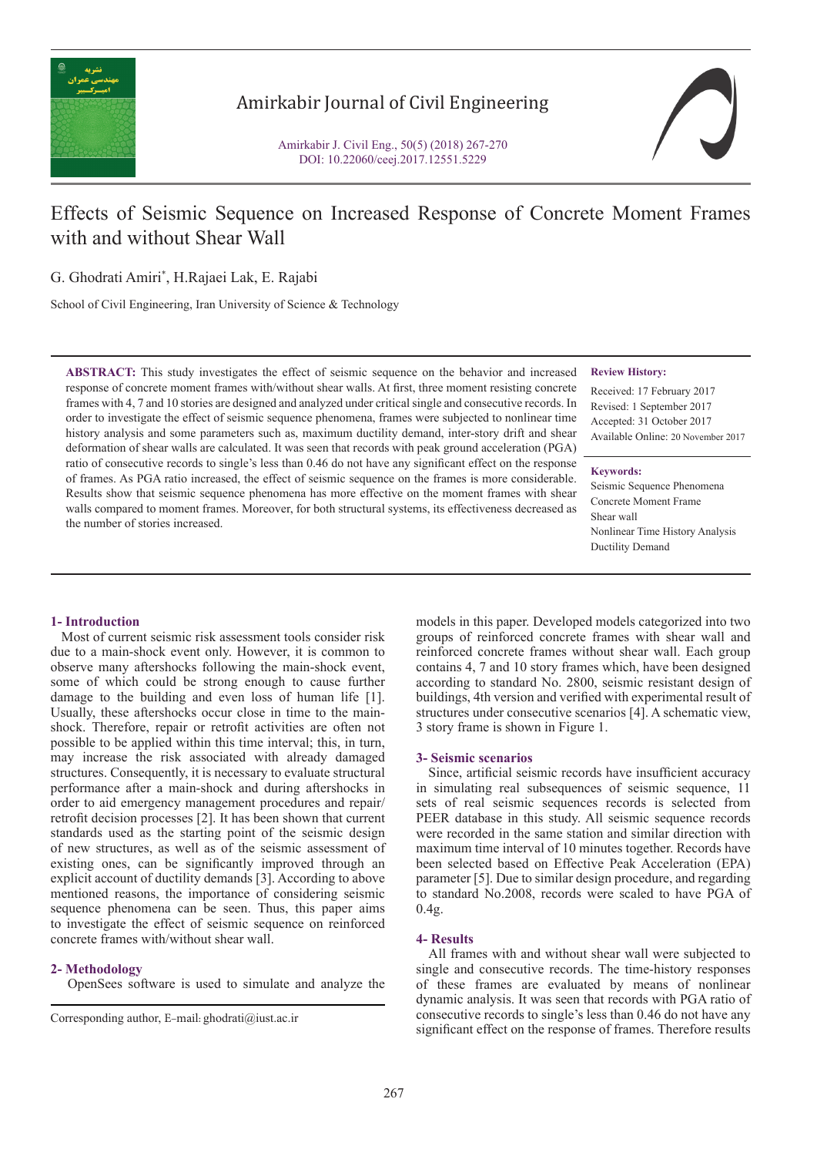

# Amirkabir Journal of Civil Engineering

Amirkabir J. Civil Eng., 50(5) (2018) 267-270 DOI: 10.22060/ceej.2017.12551.5229



# Effects of Seismic Sequence on Increased Response of Concrete Moment Frames with and without Shear Wall

G. Ghodrati Amiri\* , H.Rajaei Lak, E. Rajabi

School of Civil Engineering, Iran University of Science & Technology

**ABSTRACT:** This study investigates the effect of seismic sequence on the behavior and increased response of concrete moment frames with/without shear walls. At first, three moment resisting concrete frames with 4, 7 and 10 stories are designed and analyzed under critical single and consecutive records. In order to investigate the effect of seismic sequence phenomena, frames were subjected to nonlinear time history analysis and some parameters such as, maximum ductility demand, inter-story drift and shear deformation of shear walls are calculated. It was seen that records with peak ground acceleration (PGA) ratio of consecutive records to single's less than 0.46 do not have any significant effect on the response of frames. As PGA ratio increased, the effect of seismic sequence on the frames is more considerable. Results show that seismic sequence phenomena has more effective on the moment frames with shear walls compared to moment frames. Moreover, for both structural systems, its effectiveness decreased as the number of stories increased.

#### **Review History:**

Received: 17 February 2017 Revised: 1 September 2017 Accepted: 31 October 2017 Available Online: 20 November 2017

#### **Keywords:**

Seismic Sequence Phenomena Concrete Moment Frame Shear wall Nonlinear Time History Analysis Ductility Demand

### **1- Introduction**

 Most of current seismic risk assessment tools consider risk due to a main-shock event only. However, it is common to observe many aftershocks following the main-shock event, some of which could be strong enough to cause further damage to the building and even loss of human life [1]. Usually, these aftershocks occur close in time to the mainshock. Therefore, repair or retrofit activities are often not possible to be applied within this time interval; this, in turn, may increase the risk associated with already damaged structures. Consequently, it is necessary to evaluate structural performance after a main-shock and during aftershocks in order to aid emergency management procedures and repair/ retrofit decision processes [2]. It has been shown that current standards used as the starting point of the seismic design of new structures, as well as of the seismic assessment of existing ones, can be significantly improved through an explicit account of ductility demands [3]. According to above mentioned reasons, the importance of considering seismic sequence phenomena can be seen. Thus, this paper aims to investigate the effect of seismic sequence on reinforced concrete frames with/without shear wall.

#### **2- Methodology**

OpenSees software is used to simulate and analyze the

models in this paper. Developed models categorized into two groups of reinforced concrete frames with shear wall and reinforced concrete frames without shear wall. Each group contains 4, 7 and 10 story frames which, have been designed according to standard No. 2800, seismic resistant design of buildings, 4th version and verified with experimental result of structures under consecutive scenarios [4]. A schematic view, 3 story frame is shown in Figure 1.

#### **3- Seismic scenarios**

 Since, artificial seismic records have insufficient accuracy in simulating real subsequences of seismic sequence, 11 sets of real seismic sequences records is selected from PEER database in this study. All seismic sequence records were recorded in the same station and similar direction with maximum time interval of 10 minutes together. Records have been selected based on Effective Peak Acceleration (EPA) parameter [5]. Due to similar design procedure, and regarding to standard No.2008, records were scaled to have PGA of  $0.4<sub>2</sub>$ .

### **4- Results**

 All frames with and without shear wall were subjected to single and consecutive records. The time-history responses of these frames are evaluated by means of nonlinear dynamic analysis. It was seen that records with PGA ratio of consecutive records to single's less than 0.46 do not have any Corresponding author, E-mail: ghodrati@iust.ac.ir<br>
significant effect on the response of frames. Therefore results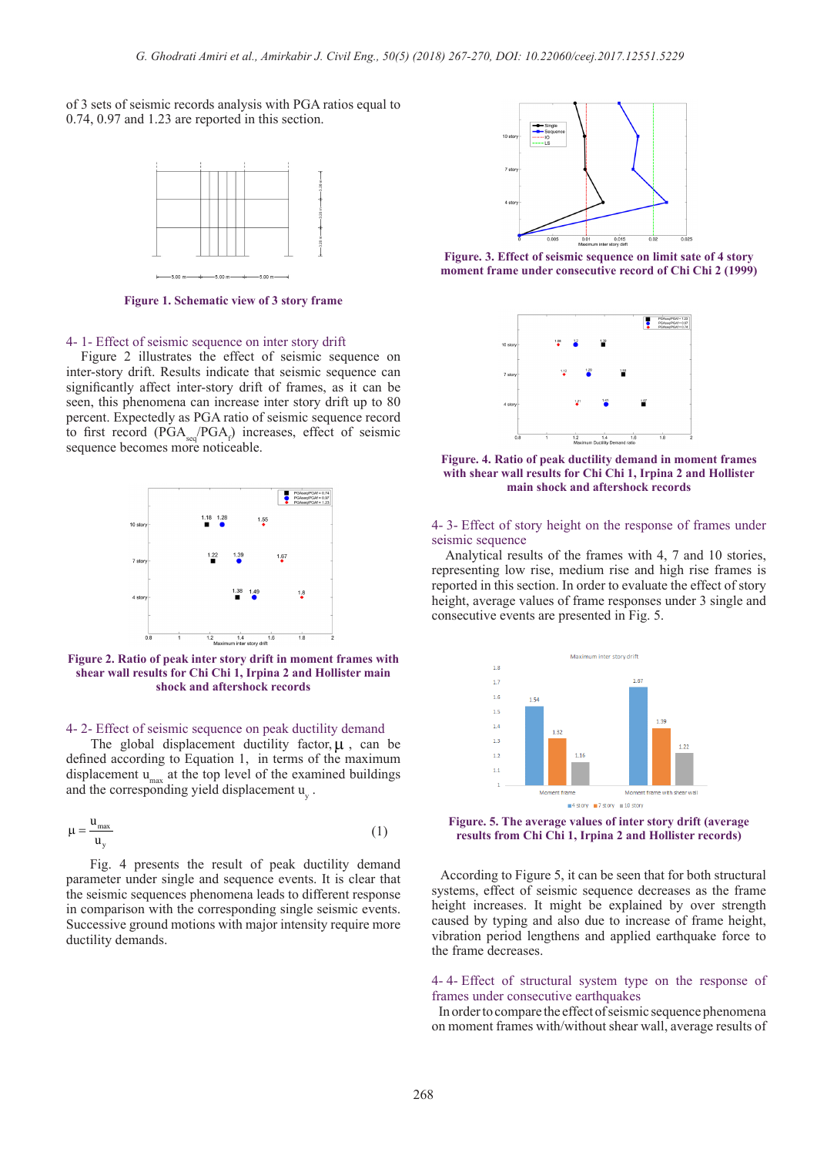of 3 sets of seismic records analysis with PGA ratios equal to 0.74, 0.97 and 1.23 are reported in this section.



**Figure 1. Schematic view of 3 story frame**

#### 4- 1- Effect of seismic sequence on inter story drift

 Figure 2 illustrates the effect of seismic sequence on inter-story drift. Results indicate that seismic sequence can significantly affect inter-story drift of frames, as it can be seen, this phenomena can increase inter story drift up to 80 percent. Expectedly as PGA ratio of seismic sequence record to first record  $(PGA_{\text{seq}}/PGA_f)$  increases, effect of seismic sequence becomes more noticeable.



**Figure 2. Ratio of peak inter story drift in moment frames with shear wall results for Chi Chi 1, Irpina 2 and Hollister main shock and aftershock records**

#### 4- 2- Effect of seismic sequence on peak ductility demand

The global displacement ductility factor,  $\mu$ , can be defined according to Equation 1, in terms of the maximum displacement  $u_{\text{max}}$  at the top level of the examined buildings and the corresponding yield displacement  $u_y$ .

$$
\mu = \frac{u_{\text{max}}}{u_y} \tag{1}
$$

 Fig. 4 presents the result of peak ductility demand parameter under single and sequence events. It is clear that the seismic sequences phenomena leads to different response in comparison with the corresponding single seismic events. Successive ground motions with major intensity require more ductility demands.



**Figure. 3. Effect of seismic sequence on limit sate of 4 story moment frame under consecutive record of Chi Chi 2 (1999)**



**Figure. 4. Ratio of peak ductility demand in moment frames with shear wall results for Chi Chi 1, Irpina 2 and Hollister main shock and aftershock records**

#### 4- 3- Effect of story height on the response of frames under seismic sequence

 Analytical results of the frames with 4, 7 and 10 stories, representing low rise, medium rise and high rise frames is reported in this section. In order to evaluate the effect of story height, average values of frame responses under 3 single and consecutive events are presented in Fig. 5.



**Figure. 5. The average values of inter story drift (average results from Chi Chi 1, Irpina 2 and Hollister records)**

 According to Figure 5, it can be seen that for both structural systems, effect of seismic sequence decreases as the frame height increases. It might be explained by over strength caused by typing and also due to increase of frame height, vibration period lengthens and applied earthquake force to the frame decreases.

#### 4- 4- Effect of structural system type on the response of frames under consecutive earthquakes

 In order to compare the effect of seismic sequence phenomena on moment frames with/without shear wall, average results of